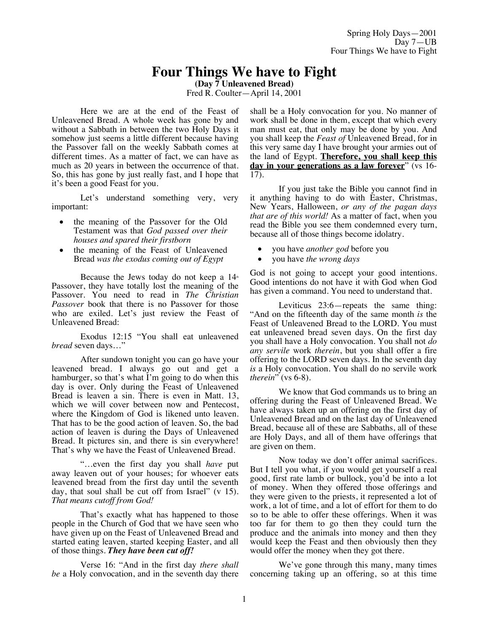# **Four Things We have to Fight**

**(Day 7 Unleavened Bread)**

Fred R. Coulter—April 14, 2001

Here we are at the end of the Feast of Unleavened Bread. A whole week has gone by and without a Sabbath in between the two Holy Days it somehow just seems a little different because having the Passover fall on the weekly Sabbath comes at different times. As a matter of fact, we can have as much as 20 years in between the occurrence of that. So, this has gone by just really fast, and I hope that it's been a good Feast for you.

Let's understand something very, very important:

- the meaning of the Passover for the Old Testament was that *God passed over their houses and spared their firstborn*
- the meaning of the Feast of Unleavened Bread *was the exodus coming out of Egypt*

Because the Jews today do not keep a  $14<sup>th</sup>$ Passover, they have totally lost the meaning of the Passover. You need to read in *The Christian Passover* book that there is no Passover for those who are exiled. Let's just review the Feast of Unleavened Bread:

Exodus 12:15 "You shall eat unleavened *bread* seven days…"

After sundown tonight you can go have your leavened bread. I always go out and get a hamburger, so that's what I'm going to do when this day is over. Only during the Feast of Unleavened Bread is leaven a sin. There is even in Matt. 13, which we will cover between now and Pentecost, where the Kingdom of God is likened unto leaven. That has to be the good action of leaven. So, the bad action of leaven is during the Days of Unleavened Bread. It pictures sin, and there is sin everywhere! That's why we have the Feast of Unleavened Bread.

"…even the first day you shall *have* put away leaven out of your houses; for whoever eats leavened bread from the first day until the seventh day, that soul shall be cut off from Israel" (v 15). *That means cutoff from God!*

That's exactly what has happened to those people in the Church of God that we have seen who have given up on the Feast of Unleavened Bread and started eating leaven, started keeping Easter, and all of those things. *They have been cut off!*

Verse 16: "And in the first day *there shall be* a Holy convocation, and in the seventh day there shall be a Holy convocation for you. No manner of work shall be done in them, except that which every man must eat, that only may be done by you. And you shall keep the *Feast of* Unleavened Bread, for in this very same day I have brought your armies out of the land of Egypt. **Therefore, you shall keep this day in your generations as a law forever**" (vs 16- 17).

If you just take the Bible you cannot find in it anything having to do with Easter, Christmas, New Years, Halloween, *or any of the pagan days that are of this world!* As a matter of fact, when you read the Bible you see them condemned every turn, because all of those things become idolatry.

- you have *another god* before you
- you have *the wrong days*

God is not going to accept your good intentions. Good intentions do not have it with God when God has given a command. You need to understand that.

Leviticus 23:6—repeats the same thing: "And on the fifteenth day of the same month *is* the Feast of Unleavened Bread to the LORD. You must eat unleavened bread seven days. On the first day you shall have a Holy convocation. You shall not *do any servile* work *therein*, but you shall offer a fire offering to the LORD seven days. In the seventh day *is* a Holy convocation. You shall do no servile work *therein*" (vs 6-8).

We know that God commands us to bring an offering during the Feast of Unleavened Bread. We have always taken up an offering on the first day of Unleavened Bread and on the last day of Unleavened Bread, because all of these are Sabbaths, all of these are Holy Days, and all of them have offerings that are given on them.

Now today we don't offer animal sacrifices. But I tell you what, if you would get yourself a real good, first rate lamb or bullock, you'd be into a lot of money. When they offered those offerings and they were given to the priests, it represented a lot of work, a lot of time, and a lot of effort for them to do so to be able to offer these offerings. When it was too far for them to go then they could turn the produce and the animals into money and then they would keep the Feast and then obviously then they would offer the money when they got there.

We've gone through this many, many times concerning taking up an offering, so at this time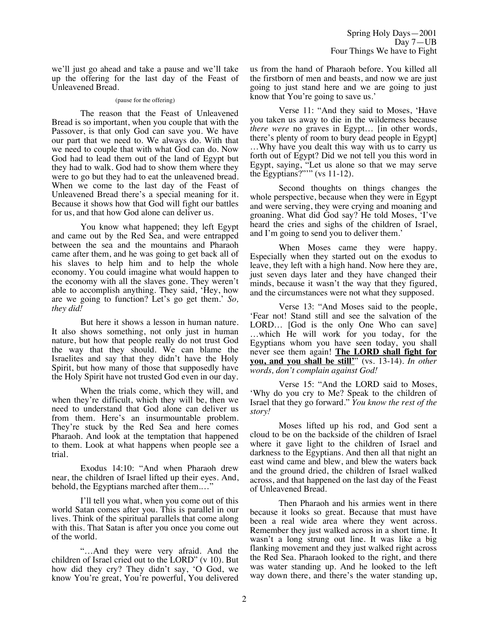we'll just go ahead and take a pause and we'll take up the offering for the last day of the Feast of Unleavened Bread.

#### (pause for the offering)

The reason that the Feast of Unleavened Bread is so important, when you couple that with the Passover, is that only God can save you. We have our part that we need to. We always do. With that we need to couple that with what God can do. Now God had to lead them out of the land of Egypt but they had to walk. God had to show them where they were to go but they had to eat the unleavened bread. When we come to the last day of the Feast of Unleavened Bread there's a special meaning for it. Because it shows how that God will fight our battles for us, and that how God alone can deliver us.

You know what happened; they left Egypt and came out by the Red Sea, and were entrapped between the sea and the mountains and Pharaoh came after them, and he was going to get back all of his slaves to help him and to help the whole economy. You could imagine what would happen to the economy with all the slaves gone. They weren't able to accomplish anything. They said, 'Hey, how are we going to function? Let's go get them.' *So, they did!*

But here it shows a lesson in human nature. It also shows something, not only just in human nature, but how that people really do not trust God the way that they should. We can blame the Israelites and say that they didn't have the Holy Spirit, but how many of those that supposedly have the Holy Spirit have not trusted God even in our day.

When the trials come, which they will, and when they're difficult, which they will be, then we need to understand that God alone can deliver us from them. Here's an insurmountable problem. They're stuck by the Red Sea and here comes Pharaoh. And look at the temptation that happened to them. Look at what happens when people see a trial.

Exodus 14:10: "And when Pharaoh drew near, the children of Israel lifted up their eyes. And, behold, the Egyptians marched after them...."

I'll tell you what, when you come out of this world Satan comes after you. This is parallel in our lives. Think of the spiritual parallels that come along with this. That Satan is after you once you come out of the world.

"…And they were very afraid. And the children of Israel cried out to the LORD" (v 10). But how did they cry? They didn't say, 'O God, we know You're great, You're powerful, You delivered

us from the hand of Pharaoh before. You killed all the firstborn of men and beasts, and now we are just going to just stand here and we are going to just know that You're going to save us.'

Verse 11: "And they said to Moses, 'Have you taken us away to die in the wilderness because *there were* no graves in Egypt... [in other words, there's plenty of room to bury dead people in Egypt] …Why have you dealt this way with us to carry us forth out of Egypt? Did we not tell you this word in Egypt, saying, "Let us alone so that we may serve the Egyptians?"'" (vs 11-12).

Second thoughts on things changes the whole perspective, because when they were in Egypt and were serving, they were crying and moaning and groaning. What did God say? He told Moses, 'I've heard the cries and sighs of the children of Israel, and I'm going to send you to deliver them.'

When Moses came they were happy. Especially when they started out on the exodus to leave, they left with a high hand. Now here they are, just seven days later and they have changed their minds, because it wasn't the way that they figured, and the circumstances were not what they supposed.

Verse 13: "And Moses said to the people, 'Fear not! Stand still and see the salvation of the LORD… [God is the only One Who can save] …which He will work for you today, for the Egyptians whom you have seen today, you shall never see them again! **The LORD shall fight for you, and you shall be still'**" (vs. 13-14). *In other words, don't complain against God!*

Verse 15: "And the LORD said to Moses, 'Why do you cry to Me? Speak to the children of Israel that they go forward." *You know the rest of the story!*

Moses lifted up his rod, and God sent a cloud to be on the backside of the children of Israel where it gave light to the children of Israel and darkness to the Egyptians. And then all that night an east wind came and blew, and blew the waters back and the ground dried, the children of Israel walked across, and that happened on the last day of the Feast of Unleavened Bread.

Then Pharaoh and his armies went in there because it looks so great. Because that must have been a real wide area where they went across. Remember they just walked across in a short time. It wasn't a long strung out line. It was like a big flanking movement and they just walked right across the Red Sea. Pharaoh looked to the right, and there was water standing up. And he looked to the left way down there, and there's the water standing up,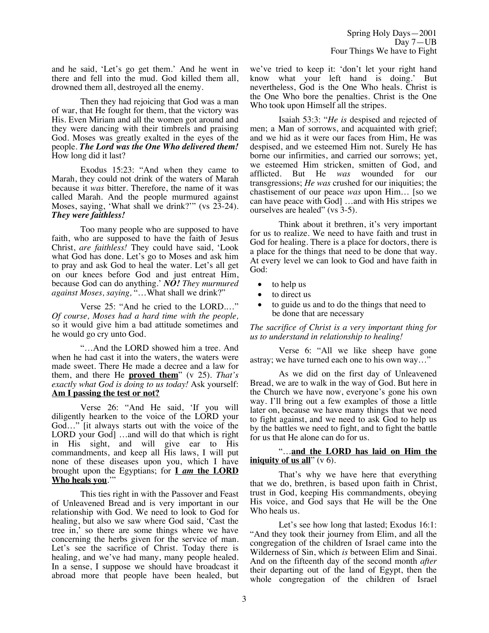and he said, 'Let's go get them.' And he went in there and fell into the mud. God killed them all, drowned them all, destroyed all the enemy.

Then they had rejoicing that God was a man of war, that He fought for them, that the victory was His. Even Miriam and all the women got around and they were dancing with their timbrels and praising God. Moses was greatly exalted in the eyes of the people. *The Lord was the One Who delivered them!* How long did it last?

Exodus 15:23: "And when they came to Marah, they could not drink of the waters of Marah because it *was* bitter. Therefore, the name of it was called Marah. And the people murmured against Moses, saying, 'What shall we drink?'" (vs 23-24). *They were faithless!*

Too many people who are supposed to have faith, who are supposed to have the faith of Jesus Christ, *are faithless!* They could have said, 'Look what God has done. Let's go to Moses and ask him to pray and ask God to heal the water. Let's all get on our knees before God and just entreat Him, because God can do anything.' *NO! They murmured against Moses, saying,* "…What shall we drink?"

Verse 25: "And he cried to the LORD.…" *Of course, Moses had a hard time with the people,* so it would give him a bad attitude sometimes and he would go cry unto God.

"…And the LORD showed him a tree. And when he had cast it into the waters, the waters were made sweet. There He made a decree and a law for them, and there He **proved them**" (v 25). *That's exactly what God is doing to us today!* Ask yourself: **Am I passing the test or not?**

Verse 26: "And He said, 'If you will diligently hearken to the voice of the LORD your God…" [it always starts out with the voice of the LORD your God] ...and will do that which is right in His sight, and will give ear to His commandments, and keep all His laws, I will put none of these diseases upon you, which I have brought upon the Egyptians; for **I** *am* **the LORD Who heals you**.'"

This ties right in with the Passover and Feast of Unleavened Bread and is very important in our relationship with God. We need to look to God for healing, but also we saw where God said, 'Cast the tree in,' so there are some things where we have concerning the herbs given for the service of man. Let's see the sacrifice of Christ. Today there is healing, and we've had many, many people healed. In a sense, I suppose we should have broadcast it abroad more that people have been healed, but we've tried to keep it: 'don't let your right hand know what your left hand is doing.' But nevertheless, God is the One Who heals. Christ is the One Who bore the penalties. Christ is the One Who took upon Himself all the stripes.

Isaiah 53:3: "*He is* despised and rejected of men; a Man of sorrows, and acquainted with grief; and we hid as it were our faces from Him, He was despised, and we esteemed Him not. Surely He has borne our infirmities, and carried our sorrows; yet, we esteemed Him stricken, smitten of God, and afflicted. But He *was* wounded for our transgressions; *He was* crushed for our iniquities; the chastisement of our peace *was* upon Him… [so we can have peace with God] …and with His stripes we ourselves are healed" (vs 3-5).

Think about it brethren, it's very important for us to realize. We need to have faith and trust in God for healing. There is a place for doctors, there is a place for the things that need to be done that way. At every level we can look to God and have faith in God:

- to help us
- to direct us
- to guide us and to do the things that need to be done that are necessary

*The sacrifice of Christ is a very important thing for us to understand in relationship to healing!*

Verse 6: "All we like sheep have gone astray; we have turned each one to his own way…"

As we did on the first day of Unleavened Bread, we are to walk in the way of God. But here in the Church we have now, everyone's gone his own way. I'll bring out a few examples of those a little later on, because we have many things that we need to fight against, and we need to ask God to help us by the battles we need to fight, and to fight the battle for us that He alone can do for us.

"…**and the LORD has laid on Him the iniquity of us all**" (v 6).

That's why we have here that everything that we do, brethren, is based upon faith in Christ, trust in God, keeping His commandments, obeying His voice, and God says that He will be the One Who heals us.

Let's see how long that lasted; Exodus 16:1: "And they took their journey from Elim, and all the congregation of the children of Israel came into the Wilderness of Sin, which *is* between Elim and Sinai. And on the fifteenth day of the second month *after* their departing out of the land of Egypt, then the whole congregation of the children of Israel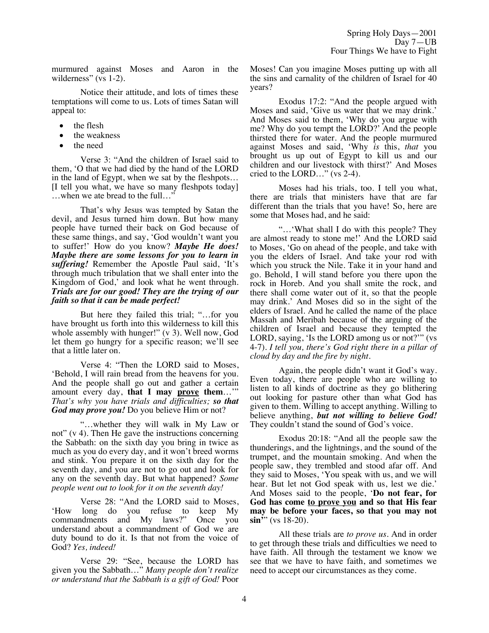murmured against Moses and Aaron in the wilderness" (vs 1-2).

Notice their attitude, and lots of times these temptations will come to us. Lots of times Satan will appeal to:

- the flesh
- the weakness
- the need

Verse 3: "And the children of Israel said to them, 'O that we had died by the hand of the LORD in the land of Egypt, when we sat by the fleshpots… [I tell you what, we have so many fleshpots today] …when we ate bread to the full…"

That's why Jesus was tempted by Satan the devil, and Jesus turned him down. But how many people have turned their back on God because of these same things, and say, 'God wouldn't want you to suffer!' How do you know? *Maybe He does! Maybe there are some lessons for you to learn in suffering!* Remember the Apostle Paul said, 'It's through much tribulation that we shall enter into the Kingdom of God,' and look what he went through. *Trials are for our good! They are the trying of our faith so that it can be made perfect!*

But here they failed this trial; "…for you have brought us forth into this wilderness to kill this whole assembly with hunger!" (v 3). Well now, God let them go hungry for a specific reason; we'll see that a little later on.

Verse 4: "Then the LORD said to Moses, 'Behold, I will rain bread from the heavens for you. And the people shall go out and gather a certain amount every day, **that I may prove them**…'" *That's why you have trials and difficulties; so that God may prove you!* Do you believe Him or not?

"…whether they will walk in My Law or not" (v 4). Then He gave the instructions concerning the Sabbath: on the sixth day you bring in twice as much as you do every day, and it won't breed worms and stink. You prepare it on the sixth day for the seventh day, and you are not to go out and look for any on the seventh day. But what happened? *Some people went out to look for it on the seventh day!*

Verse 28: "And the LORD said to Moses, 'How long do you refuse to keep My commandments and My laws?" Once you understand about a commandment of God we are duty bound to do it. Is that not from the voice of God? *Yes, indeed!*

Verse 29: "See, because the LORD has given you the Sabbath…" *Many people don't realize or understand that the Sabbath is a gift of God!* Poor

Moses! Can you imagine Moses putting up with all the sins and carnality of the children of Israel for 40 years?

Exodus 17:2: "And the people argued with Moses and said, 'Give us water that we may drink.' And Moses said to them, 'Why do you argue with me? Why do you tempt the LORD?' And the people thirsted there for water. And the people murmured against Moses and said, 'Why *is* this, *that* you brought us up out of Egypt to kill us and our children and our livestock with thirst?' And Moses cried to the LORD…" (vs 2-4).

Moses had his trials, too. I tell you what, there are trials that ministers have that are far different than the trials that you have! So, here are some that Moses had, and he said:

"…'What shall I do with this people? They are almost ready to stone me!' And the LORD said to Moses, 'Go on ahead of the people, and take with you the elders of Israel. And take your rod with which you struck the Nile. Take it in your hand and go. Behold, I will stand before you there upon the rock in Horeb. And you shall smite the rock, and there shall come water out of it, so that the people may drink.' And Moses did so in the sight of the elders of Israel. And he called the name of the place Massah and Meribah because of the arguing of the children of Israel and because they tempted the LORD, saying, 'Is the LORD among us or not?'" (vs 4-7). *I tell you, there's God right there in a pillar of cloud by day and the fire by night.*

Again, the people didn't want it God's way. Even today, there are people who are willing to listen to all kinds of doctrine as they go blithering out looking for pasture other than what God has given to them. Willing to accept anything. Willing to believe anything, *but not willing to believe God!* They couldn't stand the sound of God's voice.

Exodus 20:18: "And all the people saw the thunderings, and the lightnings, and the sound of the trumpet, and the mountain smoking. And when the people saw, they trembled and stood afar off. And they said to Moses, 'You speak with us, and we will hear. But let not God speak with us, lest we die.' And Moses said to the people, '**Do not fear, for God has come to prove you and so that His fear may be before your faces, so that you may not**  $\sin$ <sup>"</sup>" (vs 18-20).

All these trials are *to prove us.* And in order to get through these trials and difficulties we need to have faith. All through the testament we know we see that we have to have faith, and sometimes we need to accept our circumstances as they come.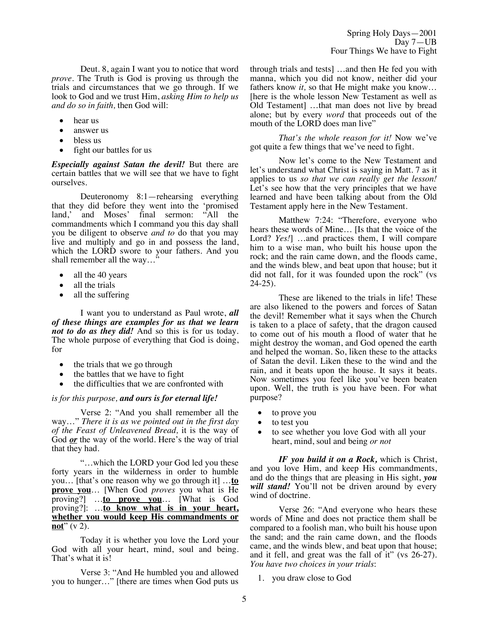Deut. 8, again I want you to notice that word *prove*. The Truth is God is proving us through the trials and circumstances that we go through. If we look to God and we trust Him, *asking Him to help us and do so in faith,* then God will:

- hear us
- answer us
- bless us
- fight our battles for us

*Especially against Satan the devil!* But there are certain battles that we will see that we have to fight ourselves.

Deuteronomy 8:1—rehearsing everything that they did before they went into the 'promised land,' and Moses' final sermon: "All the commandments which I command you this day shall you be diligent to observe *and to* do that you may live and multiply and go in and possess the land, which the LORD swore to your fathers. And you shall remember all the way...'

- all the 40 years
- all the trials
- all the suffering

I want you to understand as Paul wrote, *all of these things are examples for us that we learn not to do as they did!* And so this is for us today. The whole purpose of everything that God is doing, for

- the trials that we go through
- the battles that we have to fight
- the difficulties that we are confronted with

#### *is for this purpose, and ours is for eternal life!*

Verse 2: "And you shall remember all the way…" *There it is as we pointed out in the first day of the Feast of Unleavened Bread,* it is the way of God <u>or</u> the way of the world. Here's the way of trial that they had.

"…which the LORD your God led you these forty years in the wilderness in order to humble you… [that's one reason why we go through it] …**to prove you**… [When God *proves* you what is He proving?] …**to prove you**… [What is God proving?]: …**to know what is in your heart, whether you would keep His commandments or not**" (v 2).

Today it is whether you love the Lord your God with all your heart, mind, soul and being. That's what it is!

Verse 3: "And He humbled you and allowed you to hunger…" [there are times when God puts us through trials and tests] …and then He fed you with manna, which you did not know, neither did your fathers know *it,* so that He might make you know… [here is the whole lesson New Testament as well as Old Testament] …that man does not live by bread alone; but by every *word* that proceeds out of the mouth of the LORD does man live"

*That's the whole reason for it!* Now we've got quite a few things that we've need to fight.

Now let's come to the New Testament and let's understand what Christ is saying in Matt. 7 as it applies to us *so that we can really get the lesson!* Let's see how that the very principles that we have learned and have been talking about from the Old Testament apply here in the New Testament.

Matthew 7:24: "Therefore, everyone who hears these words of Mine… [Is that the voice of the Lord? *Yes!* …and practices them, I will compare him to a wise man, who built his house upon the rock; and the rain came down, and the floods came, and the winds blew, and beat upon that house; but it did not fall, for it was founded upon the rock" (vs 24-25).

These are likened to the trials in life! These are also likened to the powers and forces of Satan the devil! Remember what it says when the Church is taken to a place of safety, that the dragon caused to come out of his mouth a flood of water that he might destroy the woman, and God opened the earth and helped the woman. So, liken these to the attacks of Satan the devil. Liken these to the wind and the rain, and it beats upon the house. It says it beats. Now sometimes you feel like you've been beaten upon. Well, the truth is you have been. For what purpose?

- to prove you
- to test you
- to see whether you love God with all your heart, mind, soul and being *or not*

*IF you build it on a Rock,* which is Christ, and you love Him, and keep His commandments, and do the things that are pleasing in His sight, *you*  will stand! You'll not be driven around by every wind of doctrine.

Verse 26: "And everyone who hears these words of Mine and does not practice them shall be compared to a foolish man, who built his house upon the sand; and the rain came down, and the floods came, and the winds blew, and beat upon that house; and it fell, and great was the fall of it" (vs 26-27). *You have two choices in your trials*:

1. you draw close to God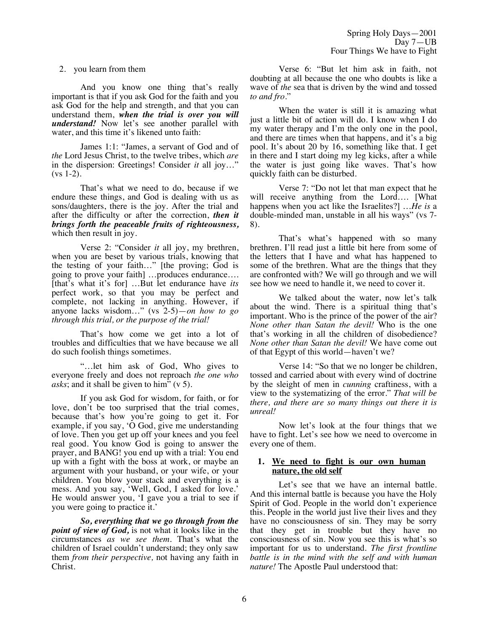## 2. you learn from them

And you know one thing that's really important is that if you ask God for the faith and you ask God for the help and strength, and that you can understand them, *when the trial is over you will understand!* Now let's see another parallel with water, and this time it's likened unto faith:

James 1:1: "James, a servant of God and of *the* Lord Jesus Christ, to the twelve tribes, which *are* in the dispersion: Greetings! Consider *it* all joy…"  $(vs 1-2)$ .

That's what we need to do, because if we endure these things, and God is dealing with us as sons/daughters, there is the joy. After the trial and after the difficulty or after the correction, *then it brings forth the peaceable fruits of righteousness,* which then result in joy.

Verse 2: "Consider *it* all joy, my brethren, when you are beset by various trials, knowing that the testing of your faith…" [the proving; God is going to prove your faith] …produces endurance…. [that's what it's for] …But let endurance have *its* perfect work, so that you may be perfect and complete, not lacking in anything. However, if anyone lacks wisdom…" (vs 2-5)—*on how to go through this trial, or the purpose of the trial!*

That's how come we get into a lot of troubles and difficulties that we have because we all do such foolish things sometimes.

"…let him ask of God, Who gives to everyone freely and does not reproach *the one who asks*; and it shall be given to him" (v 5).

If you ask God for wisdom, for faith, or for love, don't be too surprised that the trial comes, because that's how you're going to get it. For example, if you say, 'O God, give me understanding of love. Then you get up off your knees and you feel real good. You know God is going to answer the prayer, and BANG! you end up with a trial: You end up with a fight with the boss at work, or maybe an argument with your husband, or your wife, or your children. You blow your stack and everything is a mess. And you say, 'Well, God, I asked for love.' He would answer you, 'I gave you a trial to see if you were going to practice it.'

*So, everything that we go through from the point of view of God,* is not what it looks like in the circumstances *as we see them.* That's what the children of Israel couldn't understand; they only saw them *from their perspective,* not having any faith in Christ.

Verse 6: "But let him ask in faith, not doubting at all because the one who doubts is like a wave of *the* sea that is driven by the wind and tossed *to and fro*."

When the water is still it is amazing what just a little bit of action will do. I know when I do my water therapy and I'm the only one in the pool, and there are times when that happens, and it's a big pool. It's about 20 by 16, something like that. I get in there and I start doing my leg kicks, after a while the water is just going like waves. That's how quickly faith can be disturbed.

Verse 7: "Do not let that man expect that he will receive anything from the Lord.... [What happens when you act like the Israelites?] …*He is* a double-minded man, unstable in all his ways" (vs 7- 8).

That's what's happened with so many brethren. I'll read just a little bit here from some of the letters that I have and what has happened to some of the brethren. What are the things that they are confronted with? We will go through and we will see how we need to handle it, we need to cover it.

We talked about the water, now let's talk about the wind. There is a spiritual thing that's important. Who is the prince of the power of the air? *None other than Satan the devil!* Who is the one that's working in all the children of disobedience? *None other than Satan the devil!* We have come out of that Egypt of this world—haven't we?

Verse 14: "So that we no longer be children, tossed and carried about with every wind of doctrine by the sleight of men in *cunning* craftiness, with a view to the systematizing of the error." *That will be there, and there are so many things out there it is unreal!*

Now let's look at the four things that we have to fight. Let's see how we need to overcome in every one of them.

## **1. We need to fight is our own human nature, the old self**

Let's see that we have an internal battle. And this internal battle is because you have the Holy Spirit of God. People in the world don't experience this. People in the world just live their lives and they have no consciousness of sin. They may be sorry that they get in trouble but they have no consciousness of sin. Now you see this is what's so important for us to understand. *The first frontline battle is in the mind with the self and with human nature!* The Apostle Paul understood that: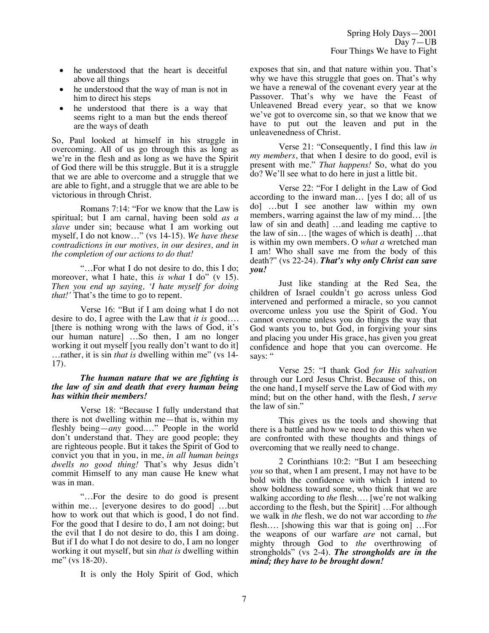- he understood that the heart is deceitful above all things
- he understood that the way of man is not in him to direct his steps
- he understood that there is a way that seems right to a man but the ends thereof are the ways of death

So, Paul looked at himself in his struggle in overcoming. All of us go through this as long as we're in the flesh and as long as we have the Spirit of God there will be this struggle. But it is a struggle that we are able to overcome and a struggle that we are able to fight, and a struggle that we are able to be victorious in through Christ.

Romans 7:14: "For we know that the Law is spiritual; but I am carnal, having been sold *as a slave* under sin; because what I am working out myself, I do not know…" (vs 14-15). *We have these contradictions in our motives, in our desires, and in the completion of our actions to do that!*

"…For what I do not desire to do, this I do; moreover, what I hate, this *is what* I do" (v 15). *Then you end up saying, 'I hate myself for doing that!'* That's the time to go to repent.

Verse 16: "But if I am doing what I do not desire to do, I agree with the Law that *it is* good…. [there is nothing wrong with the laws of God, it's our human nature] …So then, I am no longer working it out myself [you really don't want to do it] …rather, it is sin *that is* dwelling within me" (vs 14- 17).

#### *The human nature that we are fighting is the law of sin and death that every human being has within their members!*

Verse 18: "Because I fully understand that there is not dwelling within me—that is, within my fleshly being—*any* good.…" People in the world don't understand that. They are good people; they are righteous people. But it takes the Spirit of God to convict you that in you, in me, *in all human beings dwells no good thing!* That's why Jesus didn't commit Himself to any man cause He knew what was in man.

"…For the desire to do good is present within me... [everyone desires to do good] ...but how to work out that which is good, I do not find. For the good that I desire to do, I am not doing; but the evil that I do not desire to do, this I am doing. But if I do what I do not desire to do, I am no longer working it out myself, but sin *that is* dwelling within me" (vs 18-20).

It is only the Holy Spirit of God, which

exposes that sin, and that nature within you. That's why we have this struggle that goes on. That's why we have a renewal of the covenant every year at the Passover. That's why we have the Feast of Unleavened Bread every year, so that we know we've got to overcome sin, so that we know that we have to put out the leaven and put in the unleavenedness of Christ.

Verse 21: "Consequently, I find this law *in my members*, that when I desire to do good, evil is present with me." *That happens!* So, what do you do? We'll see what to do here in just a little bit.

Verse 22: "For I delight in the Law of God according to the inward man… [yes I do; all of us do] …but I see another law within my own members, warring against the law of my mind… [the law of sin and death] …and leading me captive to the law of sin… [the wages of which is death] …that is within my own members. O *what a* wretched man I am! Who shall save me from the body of this death?" (vs 22-24). *That's why only Christ can save you!*

Just like standing at the Red Sea, the children of Israel couldn't go across unless God intervened and performed a miracle, so you cannot overcome unless you use the Spirit of God. You cannot overcome unless you do things the way that God wants you to, but God, in forgiving your sins and placing you under His grace, has given you great confidence and hope that you can overcome. He says: "

Verse 25: "I thank God *for His salvation* through our Lord Jesus Christ. Because of this, on the one hand, I myself serve the Law of God with *my* mind; but on the other hand, with the flesh, *I serve*  the law of sin."

This gives us the tools and showing that there is a battle and how we need to do this when we are confronted with these thoughts and things of overcoming that we really need to change.

2 Corinthians 10:2: "But I am beseeching *you* so that, when I am present, I may not have to be bold with the confidence with which I intend to show boldness toward some, who think that we are walking according to *the* flesh…. [we're not walking according to the flesh, but the Spirit] …For although we walk in *the* flesh, we do not war according to *the* flesh…. [showing this war that is going on] …For the weapons of our warfare *are* not carnal, but mighty through God to *the* overthrowing of strongholds" (vs 2-4). *The strongholds are in the mind; they have to be brought down!*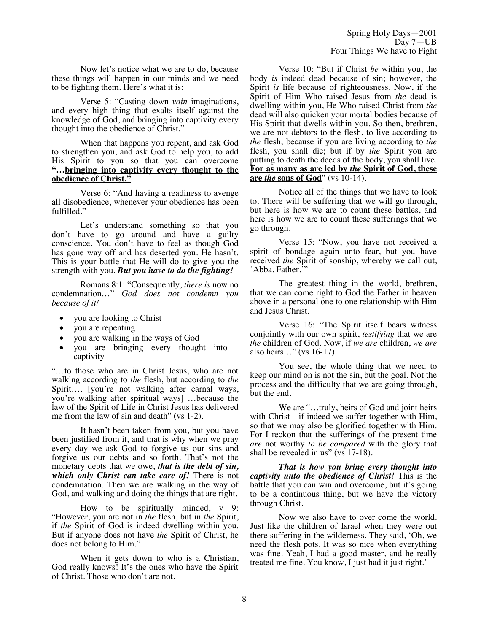Now let's notice what we are to do, because these things will happen in our minds and we need to be fighting them. Here's what it is:

Verse 5: "Casting down *vain* imaginations, and every high thing that exalts itself against the knowledge of God, and bringing into captivity every thought into the obedience of Christ."

When that happens you repent, and ask God to strengthen you, and ask God to help you, to add His Spirit to you so that you can overcome **"…bringing into captivity every thought to the obedience of Christ."**

Verse 6: "And having a readiness to avenge all disobedience, whenever your obedience has been fulfilled."

Let's understand something so that you don't have to go around and have a guilty conscience. You don't have to feel as though God has gone way off and has deserted you. He hasn't. This is your battle that He will do to give you the strength with you. *But you have to do the fighting!*

Romans 8:1: "Consequently, *there is* now no condemnation…" *God does not condemn you because of it!*

- you are looking to Christ
- you are repenting
- you are walking in the ways of God
- you are bringing every thought into captivity

"…to those who are in Christ Jesus, who are not walking according to *the* flesh, but according to *the* Spirit…. [you're not walking after carnal ways, you're walking after spiritual ways] …because the law of the Spirit of Life in Christ Jesus has delivered me from the law of sin and death" (vs 1-2).

It hasn't been taken from you, but you have been justified from it, and that is why when we pray every day we ask God to forgive us our sins and forgive us our debts and so forth. That's not the monetary debts that we owe, *that is the debt of sin, which only Christ can take care of!* There is not condemnation. Then we are walking in the way of God, and walking and doing the things that are right.

How to be spiritually minded, v 9: "However, you are not in *the* flesh, but in *the* Spirit, if *the* Spirit of God is indeed dwelling within you. But if anyone does not have *the* Spirit of Christ, he does not belong to Him."

When it gets down to who is a Christian, God really knows! It's the ones who have the Spirit of Christ. Those who don't are not.

Verse 10: "But if Christ *be* within you, the body *is* indeed dead because of sin; however, the Spirit *is* life because of righteousness. Now, if the Spirit of Him Who raised Jesus from *the* dead is dwelling within you, He Who raised Christ from *the* dead will also quicken your mortal bodies because of His Spirit that dwells within you. So then, brethren, we are not debtors to the flesh, to live according to *the* flesh; because if you are living according to *the* flesh, you shall die; but if by *the* Spirit you are putting to death the deeds of the body, you shall live. **For as many as are led by** *the* **Spirit of God, these are** *the* **sons of God**" (vs 10-14).

Notice all of the things that we have to look to. There will be suffering that we will go through, but here is how we are to count these battles, and here is how we are to count these sufferings that we go through.

Verse 15: "Now, you have not received a spirit of bondage again unto fear, but you have received *the* Spirit of sonship, whereby we call out, 'Abba, Father.<sup>5</sup>"

The greatest thing in the world, brethren, that we can come right to God the Father in heaven above in a personal one to one relationship with Him and Jesus Christ.

Verse 16: "The Spirit itself bears witness conjointly with our own spirit, *testifying* that we are *the* children of God. Now, if *we are* children, *we are* also heirs…" (vs 16-17).

You see, the whole thing that we need to keep our mind on is not the sin, but the goal. Not the process and the difficulty that we are going through, but the end.

We are "...truly, heirs of God and joint heirs with Christ—if indeed we suffer together with Him, so that we may also be glorified together with Him. For I reckon that the sufferings of the present time *are* not worthy *to be compared* with the glory that shall be revealed in us" (vs 17-18).

*That is how you bring every thought into captivity unto the obedience of Christ!* This is the battle that you can win and overcome, but it's going to be a continuous thing, but we have the victory through Christ.

Now we also have to over come the world. Just like the children of Israel when they were out there suffering in the wilderness. They said, 'Oh, we need the flesh pots. It was so nice when everything was fine. Yeah, I had a good master, and he really treated me fine. You know, I just had it just right.'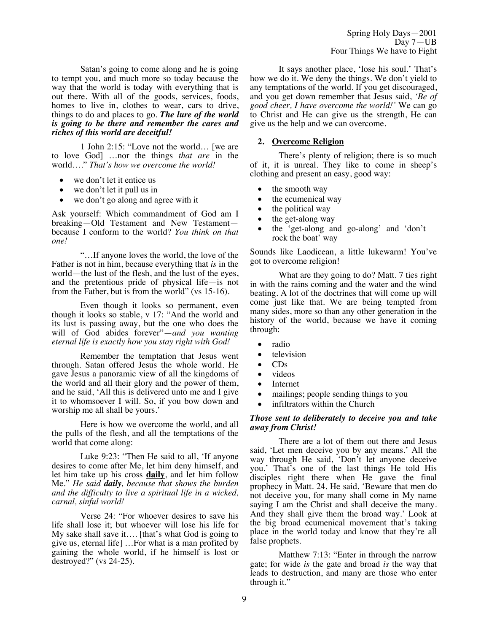Satan's going to come along and he is going to tempt you, and much more so today because the way that the world is today with everything that is out there. With all of the goods, services, foods, homes to live in, clothes to wear, cars to drive, things to do and places to go. *The lure of the world is going to be there and remember the cares and riches of this world are deceitful!*

1 John 2:15: "Love not the world… [we are to love God] …nor the things *that are* in the world…." *That's how we overcome the world!*

- we don't let it entice us
- we don't let it pull us in
- we don't go along and agree with it

Ask yourself: Which commandment of God am I breaking—Old Testament and New Testament because I conform to the world? *You think on that one!*

"…If anyone loves the world, the love of the Father is not in him, because everything that *is* in the world—the lust of the flesh, and the lust of the eyes, and the pretentious pride of physical life—is not from the Father, but is from the world" (vs 15-16).

Even though it looks so permanent, even though it looks so stable, v 17: "And the world and its lust is passing away, but the one who does the will of God abides forever"—*and you wanting eternal life is exactly how you stay right with God!*

Remember the temptation that Jesus went through. Satan offered Jesus the whole world. He gave Jesus a panoramic view of all the kingdoms of the world and all their glory and the power of them, and he said, 'All this is delivered unto me and I give it to whomsoever I will. So, if you bow down and worship me all shall be yours.'

Here is how we overcome the world, and all the pulls of the flesh, and all the temptations of the world that come along:

Luke 9:23: "Then He said to all, 'If anyone desires to come after Me, let him deny himself, and let him take up his cross **daily**, and let him follow Me." *He said daily, because that shows the burden and the difficulty to live a spiritual life in a wicked, carnal, sinful world!*

Verse 24: "For whoever desires to save his life shall lose it; but whoever will lose his life for My sake shall save it…. [that's what God is going to give us, eternal life] …For what is a man profited by gaining the whole world, if he himself is lost or destroyed?" (vs 24-25).

It says another place, 'lose his soul.' That's how we do it. We deny the things. We don't yield to any temptations of the world. If you get discouraged, and you get down remember that Jesus said, *'Be of good cheer, I have overcome the world!'* We can go to Christ and He can give us the strength, He can give us the help and we can overcome.

## **2. Overcome Religion**

There's plenty of religion; there is so much of it, it is unreal. They like to come in sheep's clothing and present an easy, good way:

- the smooth way
- the ecumenical way
- the political way
- the get-along way
- the 'get-along and go-along' and 'don't rock the boat' way

Sounds like Laodicean, a little lukewarm! You've got to overcome religion!

What are they going to do? Matt. 7 ties right in with the rains coming and the water and the wind beating. A lot of the doctrines that will come up will come just like that. We are being tempted from many sides, more so than any other generation in the history of the world, because we have it coming through:

- radio
- television
- CDs
- videos
- **Internet**
- mailings; people sending things to you
- infiltrators within the Church

#### *Those sent to deliberately to deceive you and take away from Christ!*

There are a lot of them out there and Jesus said, 'Let men deceive you by any means.' All the way through He said, 'Don't let anyone deceive you.' That's one of the last things He told His disciples right there when He gave the final prophecy in Matt. 24. He said, 'Beware that men do not deceive you, for many shall come in My name saying I am the Christ and shall deceive the many. And they shall give them the broad way.' Look at the big broad ecumenical movement that's taking place in the world today and know that they're all false prophets.

Matthew 7:13: "Enter in through the narrow gate; for wide *is* the gate and broad *is* the way that leads to destruction, and many are those who enter through it."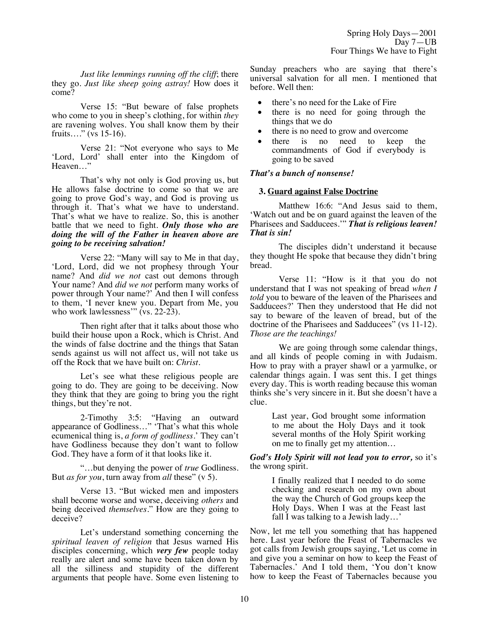*Just like lemmings running off the cliff*; there they go. *Just like sheep going astray!* How does it come?

Verse 15: "But beware of false prophets who come to you in sheep's clothing, for within *they* are ravening wolves. You shall know them by their fruits…." (vs 15-16).

Verse 21: "Not everyone who says to Me 'Lord, Lord' shall enter into the Kingdom of Heaven…"

That's why not only is God proving us, but He allows false doctrine to come so that we are going to prove God's way, and God is proving us through it. That's what we have to understand. That's what we have to realize. So, this is another battle that we need to fight. *Only those who are doing the will of the Father in heaven above are going to be receiving salvation!*

Verse 22: "Many will say to Me in that day, 'Lord, Lord, did we not prophesy through Your name? And *did we not* cast out demons through Your name? And *did we not* perform many works of power through Your name?' And then I will confess to them, 'I never knew you. Depart from Me, you who work lawlessness"  $(vs. 22-23)$ .

Then right after that it talks about those who build their house upon a Rock, which is Christ. And the winds of false doctrine and the things that Satan sends against us will not affect us, will not take us off the Rock that we have built on: *Christ*.

Let's see what these religious people are going to do. They are going to be deceiving. Now they think that they are going to bring you the right things, but they're not.

2-Timothy 3:5: "Having an outward appearance of Godliness…" 'That's what this whole ecumenical thing is, *a form of godliness*.' They can't have Godliness because they don't want to follow God. They have a form of it that looks like it.

"…but denying the power of *true* Godliness. But *as for you*, turn away from *all* these" (v 5).

Verse 13. "But wicked men and imposters shall become worse and worse, deceiving *others* and being deceived *themselves*." How are they going to deceive?

Let's understand something concerning the *spiritual leaven of religion* that Jesus warned His disciples concerning, which *very few* people today really are alert and some have been taken down by all the silliness and stupidity of the different arguments that people have. Some even listening to Sunday preachers who are saying that there's universal salvation for all men. I mentioned that before. Well then:

- there's no need for the Lake of Fire
- there is no need for going through the things that we do
- there is no need to grow and overcome
- there is no need to keep the commandments of God if everybody is going to be saved

# *That's a bunch of nonsense!*

## **3. Guard against False Doctrine**

Matthew 16:6: "And Jesus said to them, 'Watch out and be on guard against the leaven of the Pharisees and Sadducees.'" *That is religious leaven! That is sin!*

The disciples didn't understand it because they thought He spoke that because they didn't bring bread.

Verse 11: "How is it that you do not understand that I was not speaking of bread *when I told* you to beware of the leaven of the Pharisees and Sadducees?' Then they understood that He did not say to beware of the leaven of bread, but of the doctrine of the Pharisees and Sadducees" (vs 11-12). *Those are the teachings!*

We are going through some calendar things, and all kinds of people coming in with Judaism. How to pray with a prayer shawl or a yarmulke, or calendar things again. I was sent this. I get things every day. This is worth reading because this woman thinks she's very sincere in it. But she doesn't have a clue.

> Last year, God brought some information to me about the Holy Days and it took several months of the Holy Spirit working on me to finally get my attention…

*God's Holy Spirit will not lead you to error,* so it's the wrong spirit.

> I finally realized that I needed to do some checking and research on my own about the way the Church of God groups keep the Holy Days. When I was at the Feast last fall I was talking to a Jewish lady…'

Now, let me tell you something that has happened here. Last year before the Feast of Tabernacles we got calls from Jewish groups saying, 'Let us come in and give you a seminar on how to keep the Feast of Tabernacles.' And I told them, 'You don't know how to keep the Feast of Tabernacles because you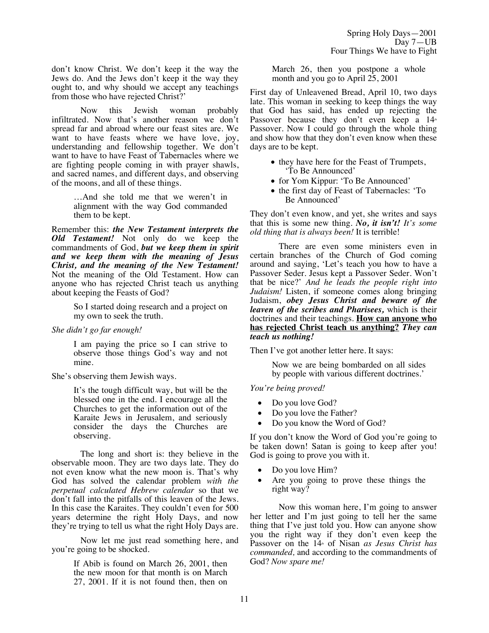don't know Christ. We don't keep it the way the Jews do. And the Jews don't keep it the way they ought to, and why should we accept any teachings from those who have rejected Christ?'

Now this Jewish woman probably infiltrated. Now that's another reason we don't spread far and abroad where our feast sites are. We want to have feasts where we have love, joy, understanding and fellowship together. We don't want to have to have Feast of Tabernacles where we are fighting people coming in with prayer shawls, and sacred names, and different days, and observing of the moons, and all of these things.

> …And she told me that we weren't in alignment with the way God commanded them to be kept.

Remember this: *the New Testament interprets the Old Testament!* Not only do we keep the commandments of God, *but we keep them in spirit and we keep them with the meaning of Jesus Christ, and the meaning of the New Testament!* Not the meaning of the Old Testament. How can anyone who has rejected Christ teach us anything about keeping the Feasts of God?

> So I started doing research and a project on my own to seek the truth.

*She didn't go far enough!*

I am paying the price so I can strive to observe those things God's way and not mine.

She's observing them Jewish ways.

It's the tough difficult way, but will be the blessed one in the end. I encourage all the Churches to get the information out of the Karaite Jews in Jerusalem, and seriously consider the days the Churches are observing.

The long and short is: they believe in the observable moon. They are two days late. They do not even know what the new moon is. That's why God has solved the calendar problem *with the perpetual calculated Hebrew calendar* so that we don't fall into the pitfalls of this leaven of the Jews. In this case the Karaites. They couldn't even for 500 years determine the right Holy Days, and now they're trying to tell us what the right Holy Days are.

Now let me just read something here, and you're going to be shocked.

> If Abib is found on March 26, 2001, then the new moon for that month is on March 27, 2001. If it is not found then, then on

March 26, then you postpone a whole month and you go to April 25, 2001

First day of Unleavened Bread, April 10, two days late. This woman in seeking to keep things the way that God has said, has ended up rejecting the Passover because they don't even keep a  $14<sup>th</sup>$ Passover. Now I could go through the whole thing and show how that they don't even know when these days are to be kept.

- they have here for the Feast of Trumpets, 'To Be Announced'
- for Yom Kippur: 'To Be Announced'
- the first day of Feast of Tabernacles: 'To Be Announced'

They don't even know, and yet, she writes and says that this is some new thing. *No, it isn't! It's some old thing that is always been!* It is terrible!

There are even some ministers even in certain branches of the Church of God coming around and saying, 'Let's teach you how to have a Passover Seder. Jesus kept a Passover Seder. Won't that be nice?' *And he leads the people right into Judaism!* Listen, if someone comes along bringing Judaism, *obey Jesus Christ and beware of the leaven of the scribes and Pharisees,* which is their doctrines and their teachings. **How can anyone who has rejected Christ teach us anything?** *They can teach us nothing!* 

Then I've got another letter here. It says:

Now we are being bombarded on all sides by people with various different doctrines.'

## *You're being proved!*

- Do you love God?
- Do you love the Father?
- Do you know the Word of God?

If you don't know the Word of God you're going to be taken down! Satan is going to keep after you! God is going to prove you with it.

- Do you love Him?
- Are you going to prove these things the right way?

Now this woman here, I'm going to answer her letter and I'm just going to tell her the same thing that I've just told you. How can anyone show you the right way if they don't even keep the Passover on the 14<sup>th</sup> of Nisan *as Jesus Christ has commanded,* and according to the commandments of God? *Now spare me!*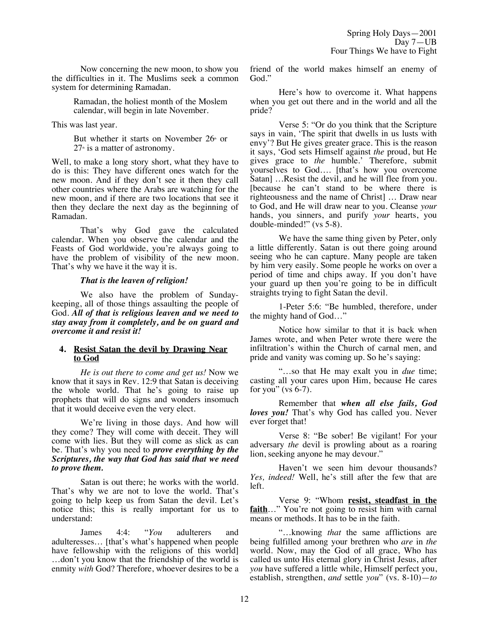Now concerning the new moon, to show you the difficulties in it. The Muslims seek a common system for determining Ramadan.

> Ramadan, the holiest month of the Moslem calendar, will begin in late November.

This was last year.

But whether it starts on November  $26<sup>th</sup>$  or  $27<sup>th</sup>$  is a matter of astronomy.

Well, to make a long story short, what they have to do is this: They have different ones watch for the new moon. And if they don't see it then they call other countries where the Arabs are watching for the new moon, and if there are two locations that see it then they declare the next day as the beginning of Ramadan.

That's why God gave the calculated calendar. When you observe the calendar and the Feasts of God worldwide, you're always going to have the problem of visibility of the new moon. That's why we have it the way it is.

## *That is the leaven of religion!*

We also have the problem of Sundaykeeping, all of those things assaulting the people of God. *All of that is religious leaven and we need to stay away from it completely, and be on guard and overcome it and resist it!*

## **4. Resist Satan the devil by Drawing Near to God**

*He is out there to come and get us!* Now we know that it says in Rev. 12:9 that Satan is deceiving the whole world. That he's going to raise up prophets that will do signs and wonders insomuch that it would deceive even the very elect.

We're living in those days. And how will they come? They will come with deceit. They will come with lies. But they will come as slick as can be. That's why you need to *prove everything by the Scriptures, the way that God has said that we need to prove them.*

Satan is out there; he works with the world. That's why we are not to love the world. That's going to help keep us from Satan the devil. Let's notice this; this is really important for us to understand:

James 4:4: "*You* adulterers and adulteresses… [that's what's happened when people have fellowship with the religions of this world] …don't you know that the friendship of the world is enmity *with* God? Therefore, whoever desires to be a friend of the world makes himself an enemy of God."

Here's how to overcome it. What happens when you get out there and in the world and all the pride?

Verse 5: "Or do you think that the Scripture says in vain, 'The spirit that dwells in us lusts with envy'? But He gives greater grace. This is the reason it says, 'God sets Himself against *the* proud, but He gives grace to *the* humble.' Therefore, submit yourselves to God…. [that's how you overcome Satan] …Resist the devil, and he will flee from you. [because he can't stand to be where there is righteousness and the name of Christ] … Draw near to God, and He will draw near to you. Cleanse *your* hands, you sinners, and purify *your* hearts, you double-minded!" (vs 5-8).

We have the same thing given by Peter, only a little differently. Satan is out there going around seeing who he can capture. Many people are taken by him very easily. Some people he works on over a period of time and chips away. If you don't have your guard up then you're going to be in difficult straights trying to fight Satan the devil.

1-Peter 5:6: "Be humbled, therefore, under the mighty hand of God…"

Notice how similar to that it is back when James wrote, and when Peter wrote there were the infiltration's within the Church of carnal men, and pride and vanity was coming up. So he's saying:

"…so that He may exalt you in *due* time; casting all your cares upon Him, because He cares for you" (vs  $6-7$ ).

Remember that *when all else fails, God loves you!* That's why God has called you. Never ever forget that!

Verse 8: "Be sober! Be vigilant! For your adversary *the* devil is prowling about as a roaring lion, seeking anyone he may devour."

Haven't we seen him devour thousands? *Yes, indeed!* Well, he's still after the few that are left.

Verse 9: "Whom **resist, steadfast in the faith**…" You're not going to resist him with carnal means or methods. It has to be in the faith.

"…knowing *that* the same afflictions are being fulfilled among your brethren who *are* in *the* world. Now, may the God of all grace, Who has called us unto His eternal glory in Christ Jesus, after *you* have suffered a little while, Himself perfect you, establish, strengthen, *and* settle *you*" (vs. 8-10)—*to*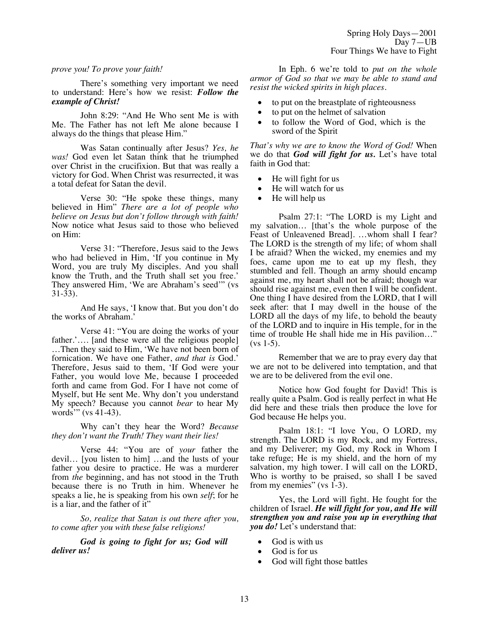## *prove you! To prove your faith!*

There's something very important we need to understand: Here's how we resist: *Follow the example of Christ!*

John 8:29: "And He Who sent Me is with Me. The Father has not left Me alone because I always do the things that please Him."

Was Satan continually after Jesus? *Yes, he was!* God even let Satan think that he triumphed over Christ in the crucifixion. But that was really a victory for God. When Christ was resurrected, it was a total defeat for Satan the devil.

Verse 30: "He spoke these things, many believed in Him" *There are a lot of people who believe on Jesus but don't follow through with faith!* Now notice what Jesus said to those who believed on Him:

Verse 31: "Therefore, Jesus said to the Jews who had believed in Him, 'If you continue in My Word, you are truly My disciples. And you shall know the Truth, and the Truth shall set you free.' They answered Him, 'We are Abraham's seed'" (vs 31-33).

And He says, 'I know that. But you don't do the works of Abraham.'

Verse 41: "You are doing the works of your father.'…. [and these were all the religious people] …Then they said to Him, 'We have not been born of fornication. We have one Father, *and that is* God.' Therefore, Jesus said to them, 'If God were your Father, you would love Me, because I proceeded forth and came from God. For I have not come of Myself, but He sent Me. Why don't you understand My speech? Because you cannot *bear* to hear My words" (vs  $41-43$ ).

Why can't they hear the Word? *Because they don't want the Truth! They want their lies!*

Verse 44: "You are of *your* father the devil… [you listen to him] …and the lusts of your father you desire to practice. He was a murderer from *the* beginning, and has not stood in the Truth because there is no Truth in him. Whenever he speaks a lie, he is speaking from his own *self*; for he is a liar, and the father of it"

*So, realize that Satan is out there after you, to come after you with these false religions!*

*God is going to fight for us; God will deliver us!*

In Eph. 6 we're told to *put on the whole armor of God so that we may be able to stand and resist the wicked spirits in high places.*

- to put on the breastplate of righteousness
- to put on the helmet of salvation
- to follow the Word of God, which is the sword of the Spirit

*That's why we are to know the Word of God!* When we do that *God will fight for us.* Let's have total faith in God that:

- He will fight for us
- He will watch for us
- He will help us

Psalm 27:1: "The LORD is my Light and my salvation… [that's the whole purpose of the Feast of Unleavened Bread]. …whom shall I fear? The LORD is the strength of my life; of whom shall I be afraid? When the wicked, my enemies and my foes, came upon me to eat up my flesh, they stumbled and fell. Though an army should encamp against me, my heart shall not be afraid; though war should rise against me, even then I will be confident. One thing I have desired from the LORD, that I will seek after: that I may dwell in the house of the LORD all the days of my life, to behold the beauty of the LORD and to inquire in His temple, for in the time of trouble He shall hide me in His pavilion…" (vs 1-5).

Remember that we are to pray every day that we are not to be delivered into temptation, and that we are to be delivered from the evil one.

Notice how God fought for David! This is really quite a Psalm. God is really perfect in what He did here and these trials then produce the love for God because He helps you.

Psalm 18:1: "I love You, O LORD, my strength. The LORD is my Rock, and my Fortress, and my Deliverer; my God, my Rock in Whom I take refuge; He is my shield, and the horn of my salvation, my high tower. I will call on the LORD, Who is worthy to be praised, so shall I be saved from my enemies" (vs  $1-3$ ).

Yes, the Lord will fight. He fought for the children of Israel. *He will fight for you, and He will strengthen you and raise you up in everything that you do!* Let's understand that:

- God is with us
- God is for us
- God will fight those battles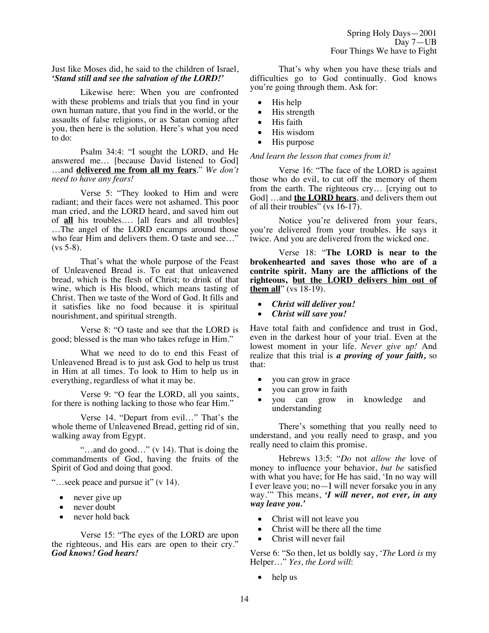Just like Moses did, he said to the children of Israel, *'Stand still and see the salvation of the LORD!'*

Likewise here: When you are confronted with these problems and trials that you find in your own human nature, that you find in the world, or the assaults of false religions, or as Satan coming after you, then here is the solution. Here's what you need to do:

Psalm 34:4: "I sought the LORD, and He answered me… [because David listened to God] …and **delivered me from all my fears**." *We don't need to have any fears!*

Verse 5: "They looked to Him and were radiant; and their faces were not ashamed. This poor man cried, and the LORD heard, and saved him out of **all** his troubles…. [all fears and all troubles] …The angel of the LORD encamps around those who fear Him and delivers them. O taste and see..."  $(vs 5-8)$ .

That's what the whole purpose of the Feast of Unleavened Bread is. To eat that unleavened bread, which is the flesh of Christ; to drink of that wine, which is His blood, which means tasting of Christ. Then we taste of the Word of God. It fills and it satisfies like no food because it is spiritual nourishment, and spiritual strength.

Verse 8: "O taste and see that the LORD is good; blessed is the man who takes refuge in Him."

What we need to do to end this Feast of Unleavened Bread is to just ask God to help us trust in Him at all times. To look to Him to help us in everything, regardless of what it may be.

Verse 9: "O fear the LORD, all you saints, for there is nothing lacking to those who fear Him."

Verse 14. "Depart from evil…" That's the whole theme of Unleavened Bread, getting rid of sin, walking away from Egypt.

"…and do good…" (v 14). That is doing the commandments of God, having the fruits of the Spirit of God and doing that good.

"…seek peace and pursue it" (v 14).

- never give up
- never doubt
- never hold back

Verse 15: "The eyes of the LORD are upon the righteous, and His ears are open to their cry." *God knows! God hears!*

That's why when you have these trials and difficulties go to God continually. God knows you're going through them. Ask for:

- His help
- His strength
- His faith
- His wisdom
- His purpose

*And learn the lesson that comes from it!*

Verse 16: "The face of the LORD is against those who do evil, to cut off the memory of them from the earth. The righteous cry… [crying out to God] …and **the LORD hears**, and delivers them out of all their troubles" (vs 16-17).

Notice you're delivered from your fears, you're delivered from your troubles. He says it twice. And you are delivered from the wicked one.

Verse 18: "**The LORD is near to the brokenhearted and saves those who are of a contrite spirit. Many are the afflictions of the righteous, but the LORD delivers him out of them all**" (vs 18-19).

- *Christ will deliver you!*
- *Christ will save you!*

Have total faith and confidence and trust in God, even in the darkest hour of your trial. Even at the lowest moment in your life. *Never give up!* And realize that this trial is *a proving of your faith,* so that:

- you can grow in grace
- you can grow in faith
- you can grow in knowledge and understanding

There's something that you really need to understand, and you really need to grasp, and you really need to claim this promise.

Hebrews 13:5: "*Do* not *allow the* love of money to influence your behavior, *but be* satisfied with what you have; for He has said, 'In no way will I ever leave you; no—I will never forsake you in any way.'" This means, *'I will never, not ever, in any way leave you.'*

- Christ will not leave you
- Christ will be there all the time
- Christ will never fail

Verse 6: "So then, let us boldly say, '*The* Lord *is* my Helper…" *Yes, the Lord will*:

help us